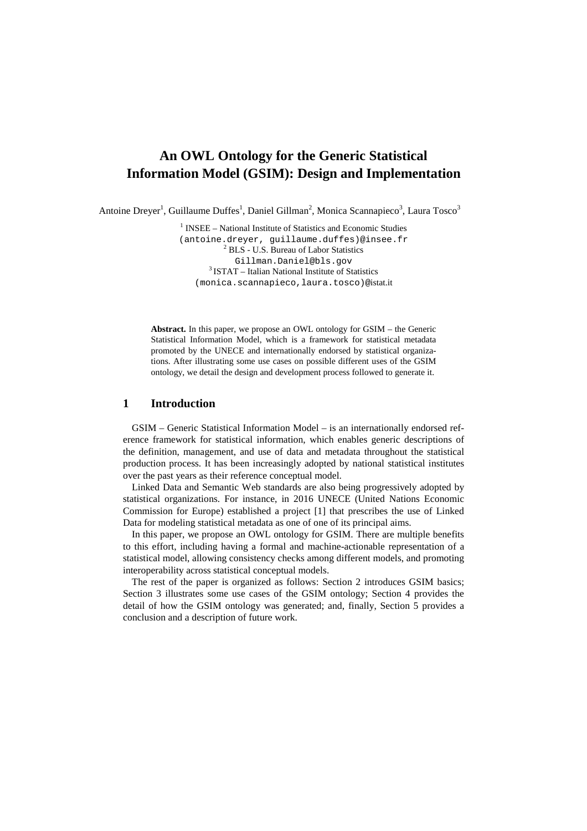# **An OWL Ontology for the Generic Statistical Information Model (GSIM): Design and Implementation**

Antoine Dreyer<sup>1</sup>, Guillaume Duffes<sup>1</sup>, Daniel Gillman<sup>2</sup>, Monica Scannapieco<sup>3</sup>, Laura Tosco<sup>3</sup>

<sup>1</sup> INSEE – National Institute of Statistics and Economic Studies (antoine.dreyer, guillaume.duffes)@insee.fr 2 BLS - U.S. Bureau of Labor Statistics Gillman.Daniel@bls.gov <sup>3</sup> ISTAT – Italian National Institute of Statistics (monica.scannapieco,laura.tosco)@istat.it

**Abstract.** In this paper, we propose an OWL ontology for GSIM – the Generic Statistical Information Model, which is a framework for statistical metadata promoted by the UNECE and internationally endorsed by statistical organizations. After illustrating some use cases on possible different uses of the GSIM ontology, we detail the design and development process followed to generate it.

# **1 Introduction**

GSIM – Generic Statistical Information Model – is an internationally endorsed reference framework for statistical information, which enables generic descriptions of the definition, management, and use of data and metadata throughout the statistical production process. It has been increasingly adopted by national statistical institutes over the past years as their reference conceptual model.

Linked Data and Semantic Web standards are also being progressively adopted by statistical organizations. For instance, in 2016 UNECE (United Nations Economic Commission for Europe) established a project [1] that prescribes the use of Linked Data for modeling statistical metadata as one of one of its principal aims.

In this paper, we propose an OWL ontology for GSIM. There are multiple benefits to this effort, including having a formal and machine-actionable representation of a statistical model, allowing consistency checks among different models, and promoting interoperability across statistical conceptual models.

The rest of the paper is organized as follows: Section 2 introduces GSIM basics; Section 3 illustrates some use cases of the GSIM ontology; Section 4 provides the detail of how the GSIM ontology was generated; and, finally, Section 5 provides a conclusion and a description of future work.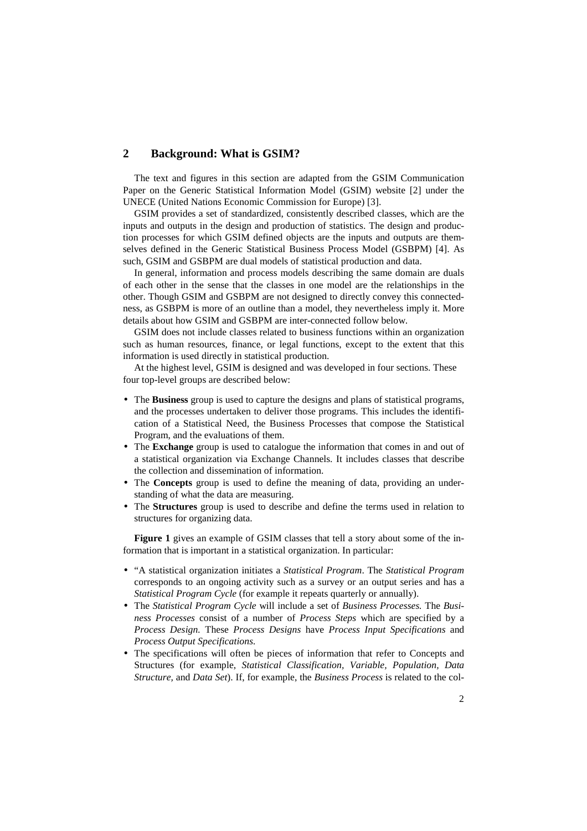# **2 Background: What is GSIM?**

The text and figures in this section are adapted from the GSIM Communication Paper on the Generic Statistical Information Model (GSIM) website [2] under the UNECE (United Nations Economic Commission for Europe) [3].

GSIM provides a set of standardized, consistently described classes, which are the inputs and outputs in the design and production of statistics. The design and production processes for which GSIM defined objects are the inputs and outputs are themselves defined in the Generic Statistical Business Process Model (GSBPM) [4]. As such, GSIM and GSBPM are dual models of statistical production and data.

In general, information and process models describing the same domain are duals of each other in the sense that the classes in one model are the relationships in the other. Though GSIM and GSBPM are not designed to directly convey this connectedness, as GSBPM is more of an outline than a model, they nevertheless imply it. More details about how GSIM and GSBPM are inter-connected follow below.

GSIM does not include classes related to business functions within an organization such as human resources, finance, or legal functions, except to the extent that this information is used directly in statistical production.

At the highest level, GSIM is designed and was developed in four sections. These four top-level groups are described below:

- The **Business** group is used to capture the designs and plans of statistical programs, and the processes undertaken to deliver those programs. This includes the identification of a Statistical Need, the Business Processes that compose the Statistical Program, and the evaluations of them.
- The **Exchange** group is used to catalogue the information that comes in and out of a statistical organization via Exchange Channels. It includes classes that describe the collection and dissemination of information.
- The **Concepts** group is used to define the meaning of data, providing an understanding of what the data are measuring.
- The **Structures** group is used to describe and define the terms used in relation to structures for organizing data.

**Figure 1** gives an example of GSIM classes that tell a story about some of the information that is important in a statistical organization. In particular:

- "A statistical organization initiates a *Statistical Program*. The *Statistical Program*  corresponds to an ongoing activity such as a survey or an output series and has a *Statistical Program Cycle* (for example it repeats quarterly or annually).
- The *Statistical Program Cycle* will include a set of *Business Processes.* The *Business Processes* consist of a number of *Process Steps* which are specified by a *Process Design.* These *Process Designs* have *Process Input Specifications* and *Process Output Specifications.*
- The specifications will often be pieces of information that refer to Concepts and Structures (for example, *Statistical Classification, Variable, Population, Data Structure,* and *Data Set*). If, for example, the *Business Process* is related to the col-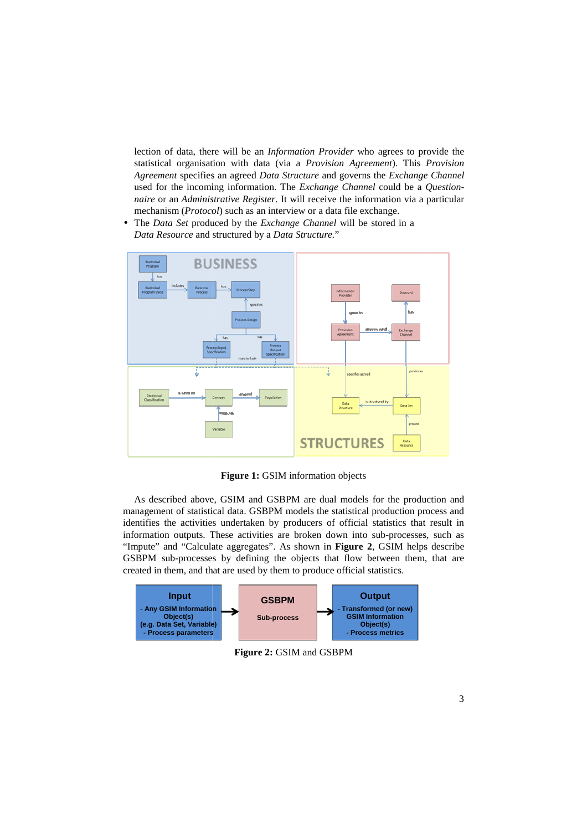lection of data, there will be an *Information Provider* who agrees to provide the statistical organisation with data (via a  *Provision Agreement*). This *Provision*  Agreement specifies an agreed *Data Structure* and governs the *Exchange Channel* used for the incoming information. The *Exchange Channel* could be a *Question naire* or an *Administrative Register* . It will receive the information via a particular mechanism (*Protocol* ) such as an interview or a data file exchange.

• The *Data Set* produced by the *Exchange Channel* will be stored in a *Data Resource* and structured by a *Data Structure.*"



**Figure 1:** GSIM information objects

As described above, GSIM and GSBPM are dual models for the production and management of statistical data. GSBPM models the statistical production process and identifies the activities undertaken by producers of official statistics that result in As described above, GSIM and GSBPM are dual models for the production and management of statistical data. GSBPM models the statistical production process and identifies the activities undertaken by producers of official st "Impute" and "Calculate aggregates". As shown in **Figure 2**, GSIM helps describe GSBPM sub-processes by defining the objects that flow between them, that are GSBPM sub-processes by defining the objects that flow between t created in them, and that are used by them to produce official statistics.



**Figure 2:** GSIM and GSBPM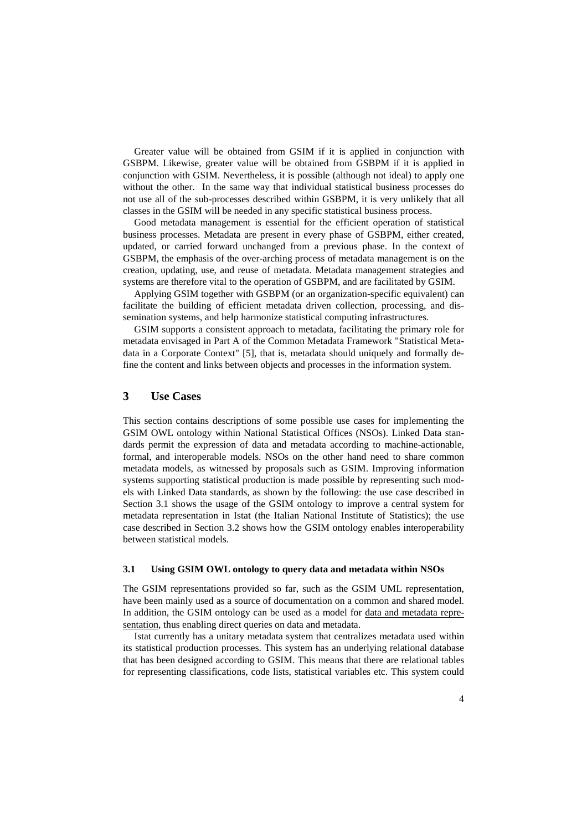Greater value will be obtained from GSIM if it is applied in conjunction with GSBPM. Likewise, greater value will be obtained from GSBPM if it is applied in conjunction with GSIM. Nevertheless, it is possible (although not ideal) to apply one without the other. In the same way that individual statistical business processes do not use all of the sub-processes described within GSBPM, it is very unlikely that all classes in the GSIM will be needed in any specific statistical business process.

Good metadata management is essential for the efficient operation of statistical business processes. Metadata are present in every phase of GSBPM, either created, updated, or carried forward unchanged from a previous phase. In the context of GSBPM, the emphasis of the over-arching process of metadata management is on the creation, updating, use, and reuse of metadata. Metadata management strategies and systems are therefore vital to the operation of GSBPM, and are facilitated by GSIM.

Applying GSIM together with GSBPM (or an organization-specific equivalent) can facilitate the building of efficient metadata driven collection, processing, and dissemination systems, and help harmonize statistical computing infrastructures.

GSIM supports a consistent approach to metadata, facilitating the primary role for metadata envisaged in Part A of the Common Metadata Framework "Statistical Metadata in a Corporate Context" [5], that is, metadata should uniquely and formally define the content and links between objects and processes in the information system.

# **3 Use Cases**

This section contains descriptions of some possible use cases for implementing the GSIM OWL ontology within National Statistical Offices (NSOs). Linked Data standards permit the expression of data and metadata according to machine-actionable, formal, and interoperable models. NSOs on the other hand need to share common metadata models, as witnessed by proposals such as GSIM. Improving information systems supporting statistical production is made possible by representing such models with Linked Data standards, as shown by the following: the use case described in Section 3.1 shows the usage of the GSIM ontology to improve a central system for metadata representation in Istat (the Italian National Institute of Statistics); the use case described in Section 3.2 shows how the GSIM ontology enables interoperability between statistical models.

### **3.1 Using GSIM OWL ontology to query data and metadata within NSOs**

The GSIM representations provided so far, such as the GSIM UML representation, have been mainly used as a source of documentation on a common and shared model. In addition, the GSIM ontology can be used as a model for data and metadata representation, thus enabling direct queries on data and metadata.

Istat currently has a unitary metadata system that centralizes metadata used within its statistical production processes. This system has an underlying relational database that has been designed according to GSIM. This means that there are relational tables for representing classifications, code lists, statistical variables etc. This system could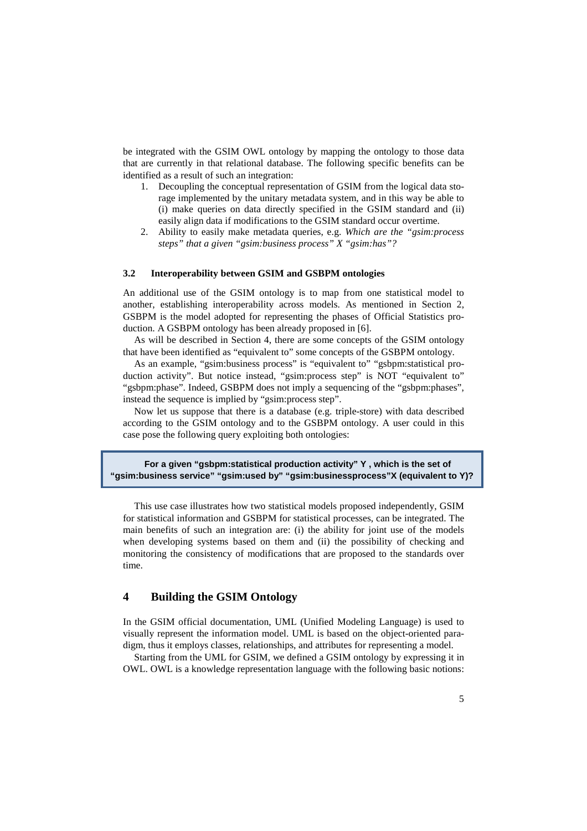be integrated with the GSIM OWL ontology by mapping the ontology to those data that are currently in that relational database. The following specific benefits can be identified as a result of such an integration:

- 1. Decoupling the conceptual representation of GSIM from the logical data storage implemented by the unitary metadata system, and in this way be able to (i) make queries on data directly specified in the GSIM standard and (ii) easily align data if modifications to the GSIM standard occur overtime.
- 2. Ability to easily make metadata queries, e.g. *Which are the "gsim:process steps" that a given "gsim:business process" X "gsim:has"?*

## **3.2 Interoperability between GSIM and GSBPM ontologies**

An additional use of the GSIM ontology is to map from one statistical model to another, establishing interoperability across models. As mentioned in Section 2, GSBPM is the model adopted for representing the phases of Official Statistics production. A GSBPM ontology has been already proposed in [6].

As will be described in Section 4, there are some concepts of the GSIM ontology that have been identified as "equivalent to" some concepts of the GSBPM ontology.

As an example, "gsim:business process" is "equivalent to" "gsbpm:statistical production activity". But notice instead, "gsim:process step" is NOT "equivalent to" "gsbpm:phase". Indeed, GSBPM does not imply a sequencing of the "gsbpm:phases", instead the sequence is implied by "gsim:process step".

Now let us suppose that there is a database (e.g. triple-store) with data described according to the GSIM ontology and to the GSBPM ontology. A user could in this case pose the following query exploiting both ontologies:

**For a given "gsbpm:statistical production activity" Y , which is the set of "gsim:business service" "gsim:used by" "gsim:businessprocess"X (equivalent to Y)?** 

This use case illustrates how two statistical models proposed independently, GSIM for statistical information and GSBPM for statistical processes, can be integrated. The main benefits of such an integration are: (i) the ability for joint use of the models when developing systems based on them and (ii) the possibility of checking and monitoring the consistency of modifications that are proposed to the standards over time.

# **4 Building the GSIM Ontology**

In the GSIM official documentation, UML (Unified Modeling Language) is used to visually represent the information model. UML is based on the object-oriented paradigm, thus it employs classes, relationships, and attributes for representing a model.

Starting from the UML for GSIM, we defined a GSIM ontology by expressing it in OWL. OWL is a knowledge representation language with the following basic notions: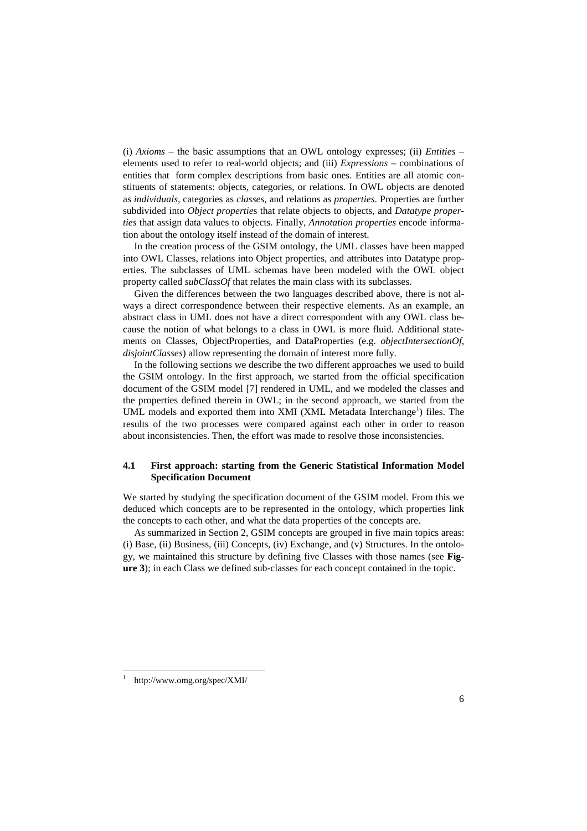(i) *Axioms* – the basic assumptions that an OWL ontology expresses; (ii) *Entities* – elements used to refer to real-world objects; and (iii) *Expressions* – combinations of entities that form complex descriptions from basic ones. Entities are all atomic constituents of statements: objects, categories, or relations. In OWL objects are denoted as *individuals*, categories as *classes*, and relations as *properties*. Properties are further subdivided into *Object propertie*s that relate objects to objects, and *Datatype properties* that assign data values to objects. Finally, *Annotation properties* encode information about the ontology itself instead of the domain of interest.

In the creation process of the GSIM ontology, the UML classes have been mapped into OWL Classes, relations into Object properties, and attributes into Datatype properties. The subclasses of UML schemas have been modeled with the OWL object property called *subClassOf* that relates the main class with its subclasses.

Given the differences between the two languages described above, there is not always a direct correspondence between their respective elements. As an example, an abstract class in UML does not have a direct correspondent with any OWL class because the notion of what belongs to a class in OWL is more fluid. Additional statements on Classes, ObjectProperties, and DataProperties (e.g. *objectIntersectionOf*, *disjointClasses*) allow representing the domain of interest more fully.

In the following sections we describe the two different approaches we used to build the GSIM ontology. In the first approach, we started from the official specification document of the GSIM model [7] rendered in UML, and we modeled the classes and the properties defined therein in OWL; in the second approach, we started from the UML models and exported them into XMI (XML Metadata Interchange<sup>1</sup>) files. The results of the two processes were compared against each other in order to reason about inconsistencies. Then, the effort was made to resolve those inconsistencies.

## **4.1 First approach: starting from the Generic Statistical Information Model Specification Document**

We started by studying the specification document of the GSIM model. From this we deduced which concepts are to be represented in the ontology, which properties link the concepts to each other, and what the data properties of the concepts are.

As summarized in Section 2, GSIM concepts are grouped in five main topics areas: (i) Base, (ii) Business, (iii) Concepts, (iv) Exchange, and (v) Structures. In the ontology, we maintained this structure by defining five Classes with those names (see **Figure 3**); in each Class we defined sub-classes for each concept contained in the topic.

l

<sup>1</sup> http://www.omg.org/spec/XMI/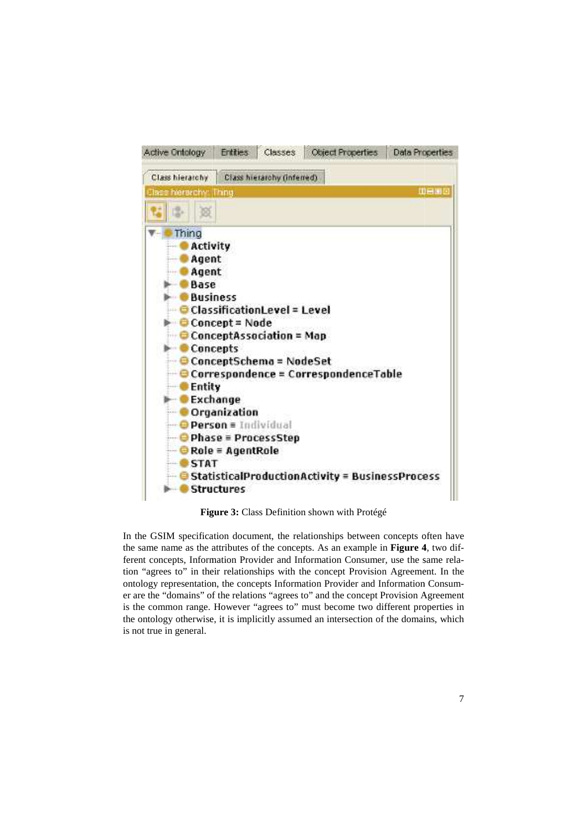

**Figure 3:** Class Definition shown with Protégé

In the GSIM specification document, the relationships between concepts often have the same name as the attributes of the concepts. As an example in Figure 4, two different concepts, Information Provider and Information Consumer, use the same relation "agrees to" in their relationships with the concept Provision Agreement. Agreement. In the ontology representation, the concepts Information Provider and Information Consu Consumer are the "domains" of the relations "agrees to" and the concept Provision Agreement is the common range. However "agrees to" must become two different properties in the ontology otherwise, it is implicitly assumed an intersection of the domains, which is not true in general.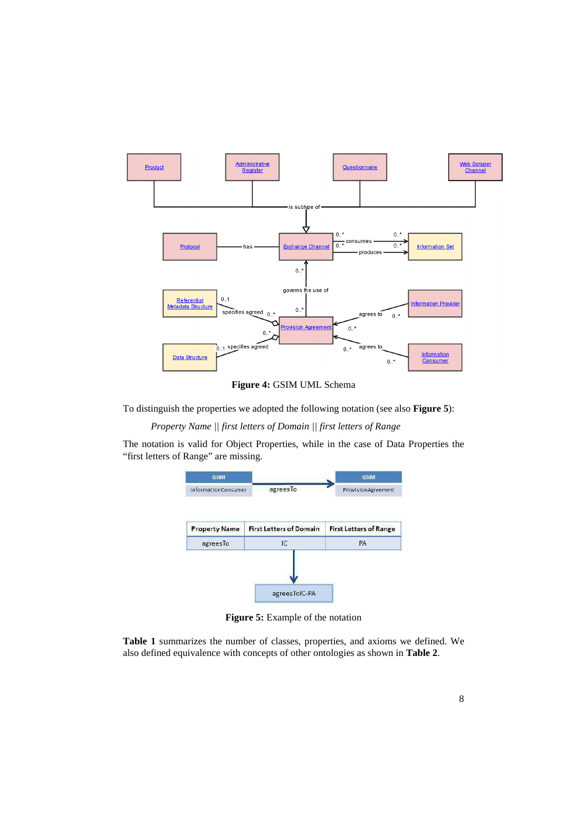

**Figure 4:** GSIM UML Schema

To distinguish the properties we adopted the following notation (see also **Figure 5**):

*Property Name || first letters of Domain || first letters of Range* 

The notation is valid for Object Properties, while in the case of Data Properties the "first letters of Range" are missing.



**Figure 5:** Example of the notation

**Table 1** summarizes the number of classes, properties, and axioms we defined. We also defined equivalence with concepts of other ontologies as shown in **Table 2**.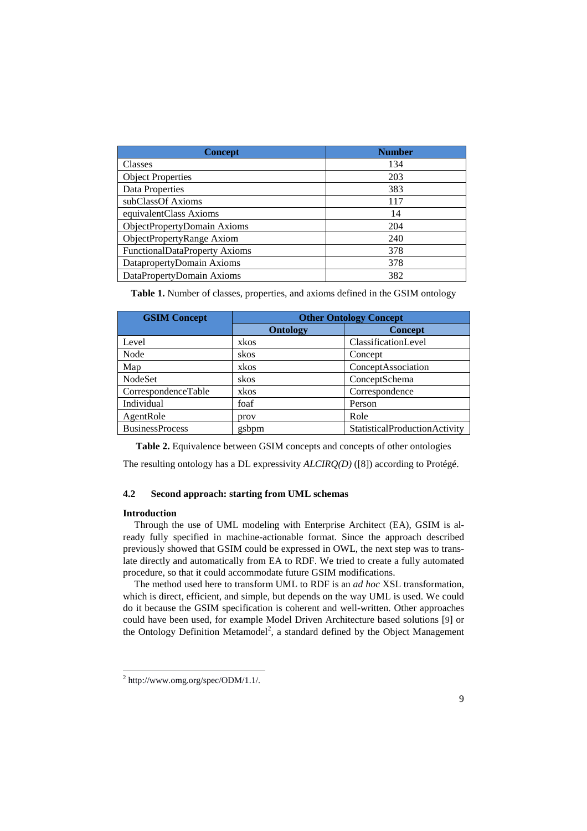| <b>Concept</b>                | <b>Number</b> |
|-------------------------------|---------------|
| Classes                       | 134           |
| <b>Object Properties</b>      | 203           |
| Data Properties               | 383           |
| subClassOf Axioms             | 117           |
| equivalentClass Axioms        | 14            |
| ObjectPropertyDomain Axioms   | 204           |
| ObjectPropertyRange Axiom     | 240           |
| FunctionalDataProperty Axioms | 378           |
| DatapropertyDomain Axioms     | 378           |
| DataPropertyDomain Axioms     | 382           |

**Table 1.** Number of classes, properties, and axioms defined in the GSIM ontology

| <b>GSIM Concept</b>    | <b>Other Ontology Concept</b> |                               |
|------------------------|-------------------------------|-------------------------------|
|                        | <b>Ontology</b>               | <b>Concept</b>                |
| Level                  | xkos                          | ClassificationLevel           |
| Node                   | skos                          | Concept                       |
| Map                    | xkos                          | ConceptAssociation            |
| NodeSet                | skos                          | ConceptSchema                 |
| CorrespondenceTable    | xkos                          | Correspondence                |
| Individual             | foaf                          | Person                        |
| AgentRole              | prov                          | Role                          |
| <b>BusinessProcess</b> | gsbpm                         | StatisticalProductionActivity |

**Table 2.** Equivalence between GSIM concepts and concepts of other ontologies

The resulting ontology has a DL expressivity *ALCIRQ(D)* ([8]) according to Protégé.

# **4.2 Second approach: starting from UML schemas**

## **Introduction**

Through the use of UML modeling with Enterprise Architect (EA), GSIM is already fully specified in machine-actionable format. Since the approach described previously showed that GSIM could be expressed in OWL, the next step was to translate directly and automatically from EA to RDF. We tried to create a fully automated procedure, so that it could accommodate future GSIM modifications.

The method used here to transform UML to RDF is an *ad hoc* XSL transformation, which is direct, efficient, and simple, but depends on the way UML is used. We could do it because the GSIM specification is coherent and well-written. Other approaches could have been used, for example Model Driven Architecture based solutions [9] or the Ontology Definition Metamodel<sup>2</sup>, a standard defined by the Object Management

 $^{2}$  http://www.omg.org/spec/ODM/1.1/.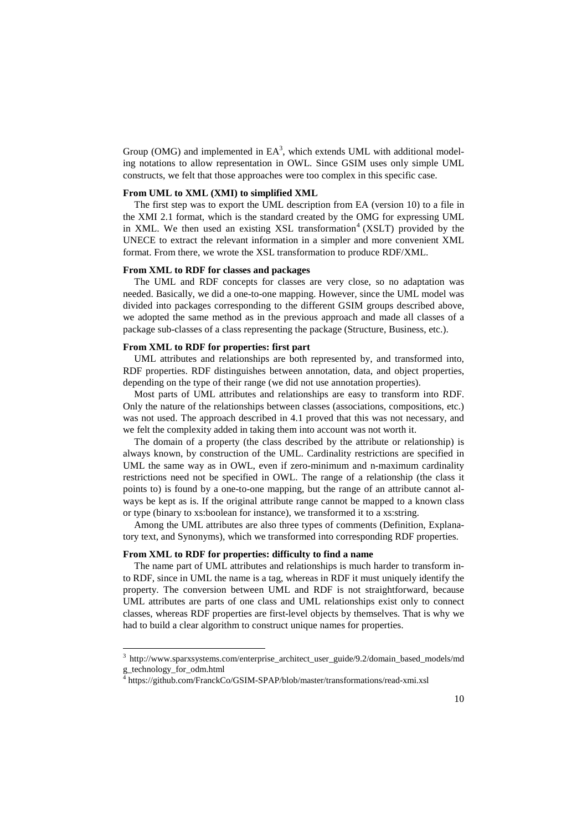Group (OMG) and implemented in  $EA^3$ , which extends UML with additional modeling notations to allow representation in OWL. Since GSIM uses only simple UML constructs, we felt that those approaches were too complex in this specific case.

#### **From UML to XML (XMI) to simplified XML**

The first step was to export the UML description from EA (version 10) to a file in the XMI 2.1 format, which is the standard created by the OMG for expressing UML in XML. We then used an existing XSL transformation<sup>4</sup> (XSLT) provided by the UNECE to extract the relevant information in a simpler and more convenient XML format. From there, we wrote the XSL transformation to produce RDF/XML.

#### **From XML to RDF for classes and packages**

The UML and RDF concepts for classes are very close, so no adaptation was needed. Basically, we did a one-to-one mapping. However, since the UML model was divided into packages corresponding to the different GSIM groups described above, we adopted the same method as in the previous approach and made all classes of a package sub-classes of a class representing the package (Structure, Business, etc.).

### **From XML to RDF for properties: first part**

UML attributes and relationships are both represented by, and transformed into, RDF properties. RDF distinguishes between annotation, data, and object properties, depending on the type of their range (we did not use annotation properties).

Most parts of UML attributes and relationships are easy to transform into RDF. Only the nature of the relationships between classes (associations, compositions, etc.) was not used. The approach described in 4.1 proved that this was not necessary, and we felt the complexity added in taking them into account was not worth it.

The domain of a property (the class described by the attribute or relationship) is always known, by construction of the UML. Cardinality restrictions are specified in UML the same way as in OWL, even if zero-minimum and n-maximum cardinality restrictions need not be specified in OWL. The range of a relationship (the class it points to) is found by a one-to-one mapping, but the range of an attribute cannot always be kept as is. If the original attribute range cannot be mapped to a known class or type (binary to xs:boolean for instance), we transformed it to a xs:string.

Among the UML attributes are also three types of comments (Definition, Explanatory text, and Synonyms), which we transformed into corresponding RDF properties.

## **From XML to RDF for properties: difficulty to find a name**

-

The name part of UML attributes and relationships is much harder to transform into RDF, since in UML the name is a tag, whereas in RDF it must uniquely identify the property. The conversion between UML and RDF is not straightforward, because UML attributes are parts of one class and UML relationships exist only to connect classes, whereas RDF properties are first-level objects by themselves. That is why we had to build a clear algorithm to construct unique names for properties.

<sup>&</sup>lt;sup>3</sup> http://www.sparxsystems.com/enterprise\_architect\_user\_guide/9.2/domain\_based\_models/md g\_technology\_for\_odm.html<br><sup>4</sup> https://github.com/FranckC

https://github.com/FranckCo/GSIM-SPAP/blob/master/transformations/read-xmi.xsl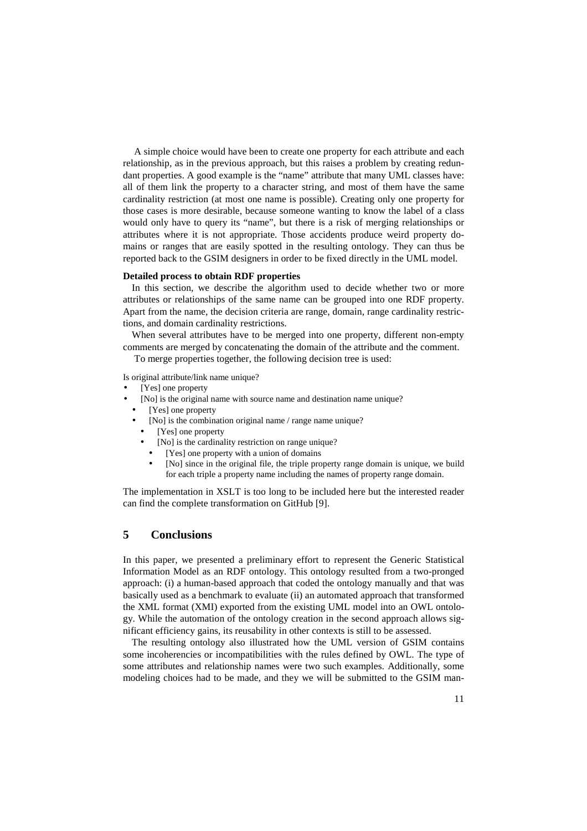A simple choice would have been to create one property for each attribute and each relationship, as in the previous approach, but this raises a problem by creating redundant properties. A good example is the "name" attribute that many UML classes have: all of them link the property to a character string, and most of them have the same cardinality restriction (at most one name is possible). Creating only one property for those cases is more desirable, because someone wanting to know the label of a class would only have to query its "name", but there is a risk of merging relationships or attributes where it is not appropriate. Those accidents produce weird property domains or ranges that are easily spotted in the resulting ontology. They can thus be reported back to the GSIM designers in order to be fixed directly in the UML model.

## **Detailed process to obtain RDF properties**

In this section, we describe the algorithm used to decide whether two or more attributes or relationships of the same name can be grouped into one RDF property. Apart from the name, the decision criteria are range, domain, range cardinality restrictions, and domain cardinality restrictions.

When several attributes have to be merged into one property, different non-empty comments are merged by concatenating the domain of the attribute and the comment.

To merge properties together, the following decision tree is used:

Is original attribute/link name unique?

- [Yes] one property
- [No] is the original name with source name and destination name unique?
- [Yes] one property
	- [No] is the combination original name / range name unique?
	- [Yes] one property
		- [No] is the cardinality restriction on range unique?
		- [Yes] one property with a union of domains
		- [No] since in the original file, the triple property range domain is unique, we build for each triple a property name including the names of property range domain.

The implementation in XSLT is too long to be included here but the interested reader can find the complete transformation on GitHub [9].

# **5 Conclusions**

In this paper, we presented a preliminary effort to represent the Generic Statistical Information Model as an RDF ontology. This ontology resulted from a two-pronged approach: (i) a human-based approach that coded the ontology manually and that was basically used as a benchmark to evaluate (ii) an automated approach that transformed the XML format (XMI) exported from the existing UML model into an OWL ontology. While the automation of the ontology creation in the second approach allows significant efficiency gains, its reusability in other contexts is still to be assessed.

The resulting ontology also illustrated how the UML version of GSIM contains some incoherencies or incompatibilities with the rules defined by OWL. The type of some attributes and relationship names were two such examples. Additionally, some modeling choices had to be made, and they we will be submitted to the GSIM man